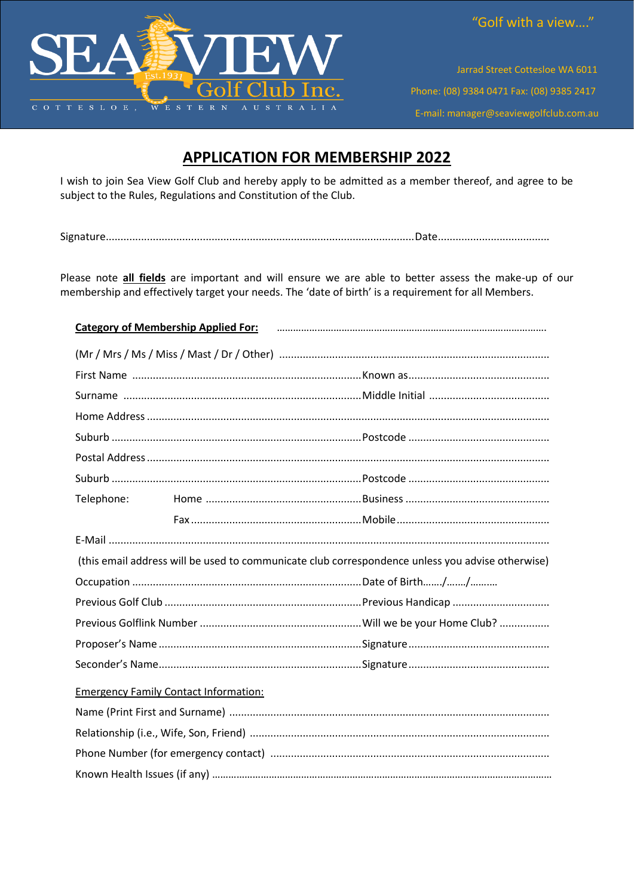

Jarrad Street Cottesloe WA 6011 Phone: (08) 9384 0471 Fax: (08) 9385 2417 E-mail: manager@seaviewgolfclub.com.au

## **APPLICATION FOR MEMBERSHIP 2022**

I wish to join Sea View Golf Club and hereby apply to be admitted as a member thereof, and agree to be subject to the Rules, Regulations and Constitution of the Club.

Please note all fields are important and will ensure we are able to better assess the make-up of our membership and effectively target your needs. The 'date of birth' is a requirement for all Members.

| Category of Membership Applied For: Faction Material Contracts and Category of Membership Applied For: |  |  |  |  |  |
|--------------------------------------------------------------------------------------------------------|--|--|--|--|--|
|                                                                                                        |  |  |  |  |  |
|                                                                                                        |  |  |  |  |  |
|                                                                                                        |  |  |  |  |  |
|                                                                                                        |  |  |  |  |  |
|                                                                                                        |  |  |  |  |  |
|                                                                                                        |  |  |  |  |  |
|                                                                                                        |  |  |  |  |  |
|                                                                                                        |  |  |  |  |  |
|                                                                                                        |  |  |  |  |  |
|                                                                                                        |  |  |  |  |  |
| (this email address will be used to communicate club correspondence unless you advise otherwise)       |  |  |  |  |  |
|                                                                                                        |  |  |  |  |  |
|                                                                                                        |  |  |  |  |  |
|                                                                                                        |  |  |  |  |  |
|                                                                                                        |  |  |  |  |  |
|                                                                                                        |  |  |  |  |  |
| <b>Emergency Family Contact Information:</b>                                                           |  |  |  |  |  |
|                                                                                                        |  |  |  |  |  |
|                                                                                                        |  |  |  |  |  |
|                                                                                                        |  |  |  |  |  |
|                                                                                                        |  |  |  |  |  |
|                                                                                                        |  |  |  |  |  |